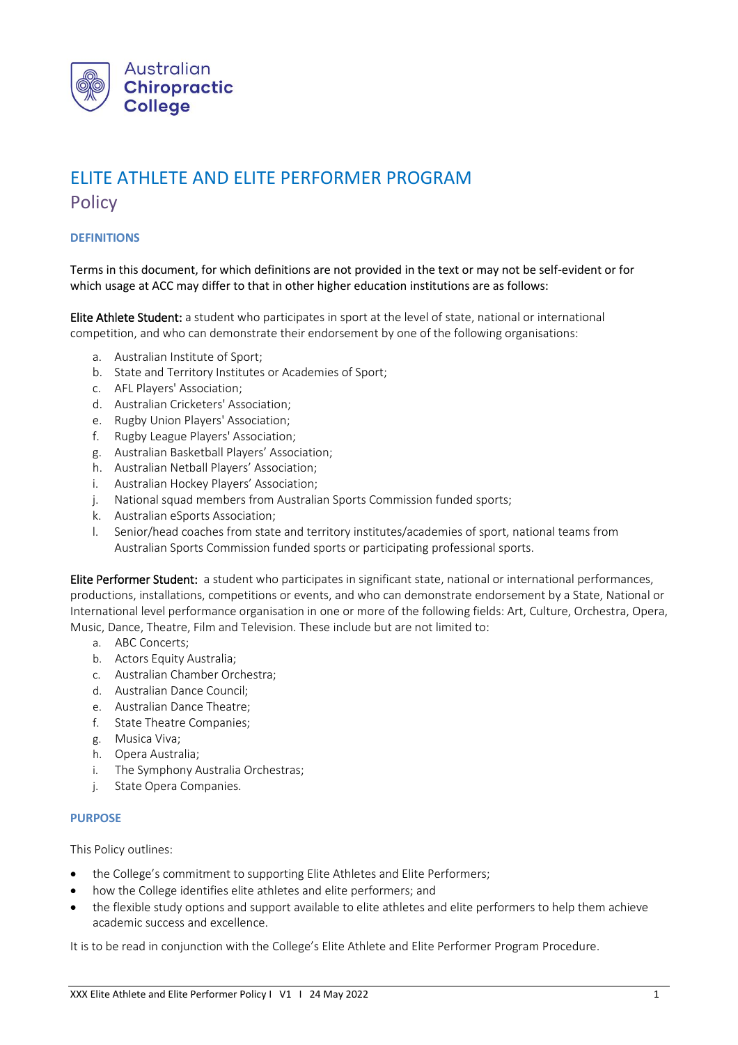

# ELITE ATHLETE AND ELITE PERFORMER PROGRAM **Policy**

# **DEFINITIONS**

Terms in this document, for which definitions are not provided in the text or may not be self-evident or for which usage at ACC may differ to that in other higher education institutions are as follows:

Elite Athlete Student: a student who participates in sport at the level of state, national or international competition, and who can demonstrate their endorsement by one of the following organisations:

- a. Australian Institute of Sport;
- b. State and Territory Institutes or Academies of Sport;
- c. AFL Players' Association;
- d. Australian Cricketers' Association;
- e. Rugby Union Players' Association;
- f. Rugby League Players' Association;
- g. Australian Basketball Players' Association;
- h. Australian Netball Players' Association;
- i. Australian Hockey Players' Association;
- j. National squad members from Australian Sports Commission funded sports;
- k. Australian eSports Association;
- l. Senior/head coaches from state and territory institutes/academies of sport, national teams from Australian Sports Commission funded sports or participating professional sports.

Elite Performer Student: a student who participates in significant state, national or international performances, productions, installations, competitions or events, and who can demonstrate endorsement by a State, National or International level performance organisation in one or more of the following fields: Art, Culture, Orchestra, Opera, Music, Dance, Theatre, Film and Television. These include but are not limited to:

- a. ABC Concerts;
- b. Actors Equity Australia;
- c. Australian Chamber Orchestra;
- d. Australian Dance Council;
- e. Australian Dance Theatre;
- f. State Theatre Companies;
- g. Musica Viva;
- h. Opera Australia;
- i. The Symphony Australia Orchestras;
- j. State Opera Companies.

#### **PURPOSE**

This Policy outlines:

- the College's commitment to supporting Elite Athletes and Elite Performers;
- how the College identifies elite athletes and elite performers; and
- the flexible study options and support available to elite athletes and elite performers to help them achieve academic success and excellence.

It is to be read in conjunction with the College's Elite Athlete and Elite Performer Program Procedure.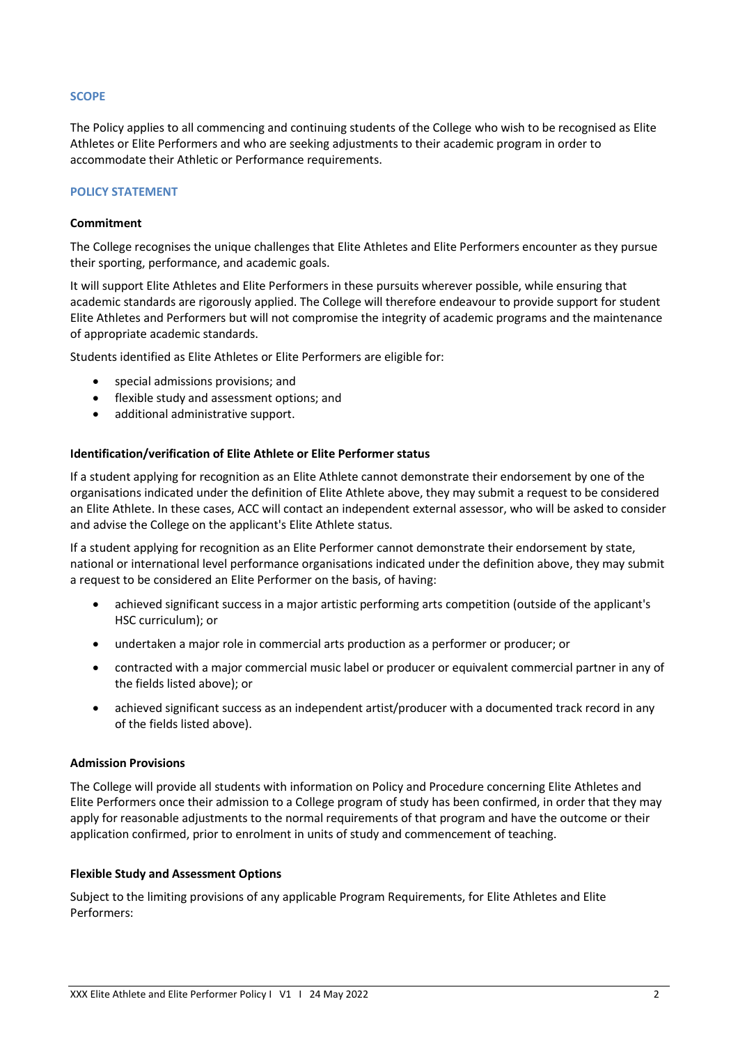## **SCOPE**

The Policy applies to all commencing and continuing students of the College who wish to be recognised as Elite Athletes or Elite Performers and who are seeking adjustments to their academic program in order to accommodate their Athletic or Performance requirements.

# **POLICY STATEMENT**

## **Commitment**

The College recognises the unique challenges that Elite Athletes and Elite Performers encounter as they pursue their sporting, performance, and academic goals.

It will support Elite Athletes and Elite Performers in these pursuits wherever possible, while ensuring that academic standards are rigorously applied. The College will therefore endeavour to provide support for student Elite Athletes and Performers but will not compromise the integrity of academic programs and the maintenance of appropriate academic standards.

Students identified as Elite Athletes or Elite Performers are eligible for:

- special admissions provisions; and
- flexible study and assessment options; and
- additional administrative support.

#### **Identification/verification of Elite Athlete or Elite Performer status**

If a student applying for recognition as an Elite Athlete cannot demonstrate their endorsement by one of the organisations indicated under the definition of Elite Athlete above, they may submit a request to be considered an Elite Athlete. In these cases, ACC will contact an independent external assessor, who will be asked to consider and advise the College on the applicant's Elite Athlete status.

If a student applying for recognition as an Elite Performer cannot demonstrate their endorsement by state, national or international level performance organisations indicated under the definition above, they may submit a request to be considered an Elite Performer on the basis, of having:

- achieved significant success in a major artistic performing arts competition (outside of the applicant's HSC curriculum); or
- undertaken a major role in commercial arts production as a performer or producer; or
- contracted with a major commercial music label or producer or equivalent commercial partner in any of the fields listed above); or
- achieved significant success as an independent artist/producer with a documented track record in any of the fields listed above).

#### **Admission Provisions**

The College will provide all students with information on Policy and Procedure concerning Elite Athletes and Elite Performers once their admission to a College program of study has been confirmed, in order that they may apply for reasonable adjustments to the normal requirements of that program and have the outcome or their application confirmed, prior to enrolment in units of study and commencement of teaching.

#### **Flexible Study and Assessment Options**

Subject to the limiting provisions of any applicable Program Requirements, for Elite Athletes and Elite Performers: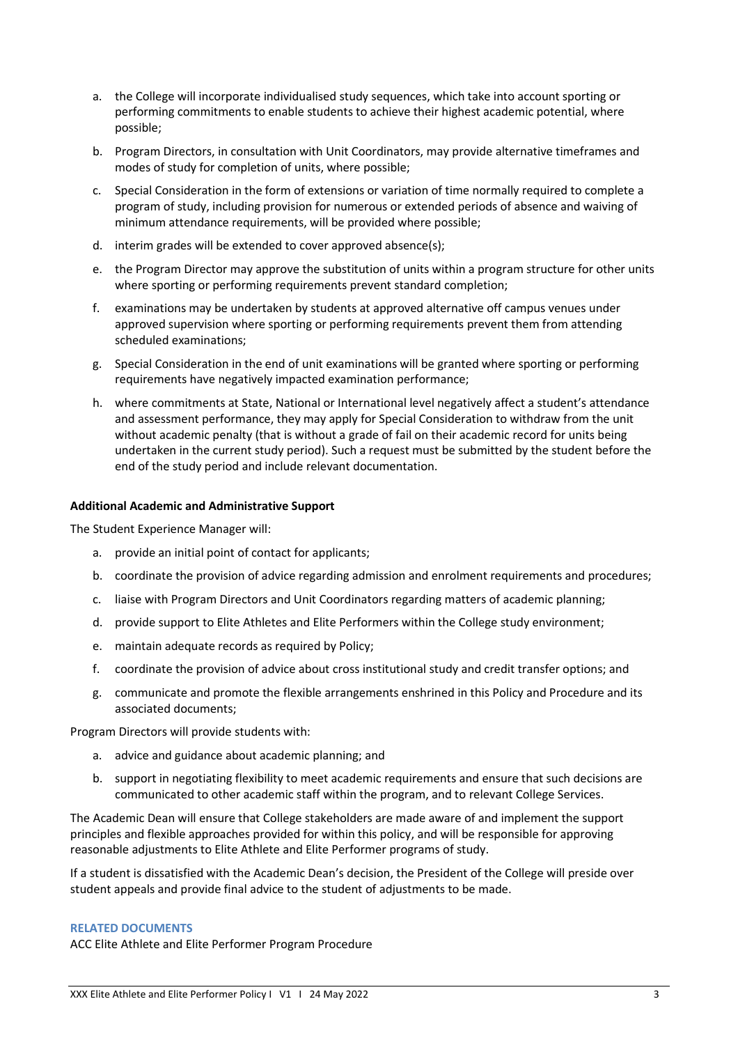- a. the College will incorporate individualised study sequences, which take into account sporting or performing commitments to enable students to achieve their highest academic potential, where possible;
- b. Program Directors, in consultation with Unit Coordinators, may provide alternative timeframes and modes of study for completion of units, where possible;
- c. Special Consideration in the form of extensions or variation of time normally required to complete a program of study, including provision for numerous or extended periods of absence and waiving of minimum attendance requirements, will be provided where possible;
- d. interim grades will be extended to cover approved absence(s);
- e. the Program Director may approve the substitution of units within a program structure for other units where sporting or performing requirements prevent standard completion;
- f. examinations may be undertaken by students at approved alternative off campus venues under approved supervision where sporting or performing requirements prevent them from attending scheduled examinations;
- g. Special Consideration in the end of unit examinations will be granted where sporting or performing requirements have negatively impacted examination performance;
- h. where commitments at State, National or International level negatively affect a student's attendance and assessment performance, they may apply for Special Consideration to withdraw from the unit without academic penalty (that is without a grade of fail on their academic record for units being undertaken in the current study period). Such a request must be submitted by the student before the end of the study period and include relevant documentation.

# **Additional Academic and Administrative Support**

The Student Experience Manager will:

- a. provide an initial point of contact for applicants;
- b. coordinate the provision of advice regarding admission and enrolment requirements and procedures;
- c. liaise with Program Directors and Unit Coordinators regarding matters of academic planning;
- d. provide support to Elite Athletes and Elite Performers within the College study environment;
- e. maintain adequate records as required by Policy;
- f. coordinate the provision of advice about cross institutional study and credit transfer options; and
- g. communicate and promote the flexible arrangements enshrined in this Policy and Procedure and its associated documents;

Program Directors will provide students with:

- a. advice and guidance about academic planning; and
- b. support in negotiating flexibility to meet academic requirements and ensure that such decisions are communicated to other academic staff within the program, and to relevant College Services.

The Academic Dean will ensure that College stakeholders are made aware of and implement the support principles and flexible approaches provided for within this policy, and will be responsible for approving reasonable adjustments to Elite Athlete and Elite Performer programs of study.

If a student is dissatisfied with the Academic Dean's decision, the President of the College will preside over student appeals and provide final advice to the student of adjustments to be made.

#### **RELATED DOCUMENTS**

ACC Elite Athlete and Elite Performer Program Procedure